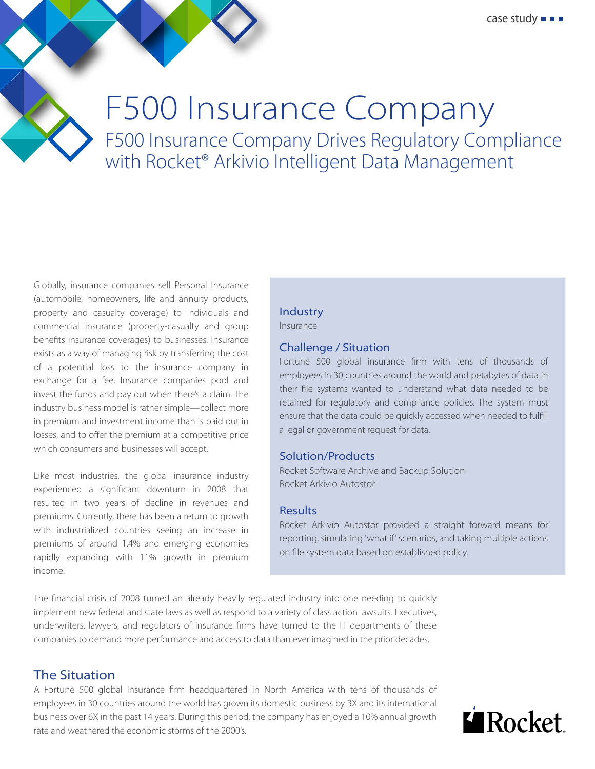

Globally, insurance companies sell Personal Insurance (automobile, homeowners, life and annuity products, property and casualty coverage) to individuals and commercial insurance (property-casualty and group benefits insurance coverages) to businesses. Insurance exists as a way of managing risk by transferring the cost of a potential loss to the insurance company in exchange for a fee. Insurance companies pool and invest the funds and pay out when there's a claim. The industry business model is rather simple—collect more in premium and investment income than is paid out in losses, and to offer the premium at a competitive price which consumers and businesses will accept.

Like most industries, the global insurance industry experienced a significant downturn in 2008 that resulted in two years of decline in revenues and premiums. Currently, there has been a return to growth with industrialized countries seeing an increase in premiums of around 1.4% and emerging economies rapidly expanding with 11% growth in premium income.

### Industry

Insurance

#### Challenge / Situation

Fortune 500 global insurance firm with tens of thousands of employees in 30 countries around the world and petabytes of data in their file systems wanted to understand what data needed to be retained for regulatory and compliance policies. The system must ensure that the data could be quickly accessed when needed to fulfill a legal or government request for data.

#### Solution/Products

Rocket Software Archive and Backup Solution Rocket Arkivio Autostor

#### Results

Rocket Arkivio Autostor provided a straight forward means for reporting, simulating 'what if' scenarios, and taking multiple actions on file system data based on established policy.

The financial crisis of 2008 turned an already heavily regulated industry into one needing to quickly implement new federal and state laws as well as respond to a variety of class action lawsuits. Executives, underwriters, lawyers, and regulators of insurance firms have turned to the IT departments of these companies to demand more performance and access to data than ever imagined in the prior decades.

# The Situation

A Fortune 500 global insurance firm headquartered in North America with tens of thousands of employees in 30 countries around the world has grown its domestic business by 3X and its international business over 6X in the past 14 years. During this period, the company has enjoyed a 10% annual growth rate and weathered the economic storms of the 2000's.

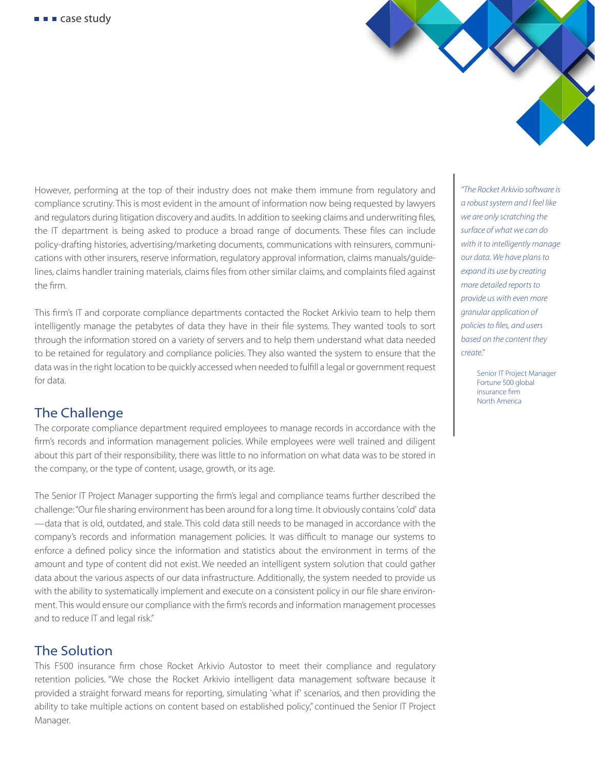However, performing at the top of their industry does not make them immune from regulatory and compliance scrutiny. This is most evident in the amount of information now being requested by lawyers and regulators during litigation discovery and audits. In addition to seeking claims and underwriting files, the IT department is being asked to produce a broad range of documents. These files can include policy-drafting histories, advertising/marketing documents, communications with reinsurers, communications with other insurers, reserve information, regulatory approval information, claims manuals/guidelines, claims handler training materials, claims files from other similar claims, and complaints filed against the firm.

This firm's IT and corporate compliance departments contacted the Rocket Arkivio team to help them intelligently manage the petabytes of data they have in their file systems. They wanted tools to sort through the information stored on a variety of servers and to help them understand what data needed to be retained for regulatory and compliance policies. They also wanted the system to ensure that the data was in the right location to be quickly accessed when needed to fulfill a legal or government request for data.

# The Challenge

The corporate compliance department required employees to manage records in accordance with the firm's records and information management policies. While employees were well trained and diligent about this part of their responsibility, there was little to no information on what data was to be stored in the company, or the type of content, usage, growth, or its age.

The Senior IT Project Manager supporting the firm's legal and compliance teams further described the challenge: "Our file sharing environment has been around for a long time. It obviously contains 'cold' data —data that is old, outdated, and stale. This cold data still needs to be managed in accordance with the company's records and information management policies. It was difficult to manage our systems to enforce a defined policy since the information and statistics about the environment in terms of the amount and type of content did not exist. We needed an intelligent system solution that could gather data about the various aspects of our data infrastructure. Additionally, the system needed to provide us with the ability to systematically implement and execute on a consistent policy in our file share environment. This would ensure our compliance with the firm's records and information management processes and to reduce IT and legal risk."

# The Solution

This F500 insurance firm chose Rocket Arkivio Autostor to meet their compliance and regulatory retention policies. "We chose the Rocket Arkivio intelligent data management software because it provided a straight forward means for reporting, simulating 'what if' scenarios, and then providing the ability to take multiple actions on content based on established policy," continued the Senior IT Project Manager.

*"The Rocket Arkivio software is a robust system and I feel like we are only scratching the surface of what we can do with it to intelligently manage our data. We have plans to expand its use by creating more detailed reports to provide us with even more granular application of policies to files, and users based on the content they create."* 

> Senior IT Project Manager Fortune 500 global insurance firm North America